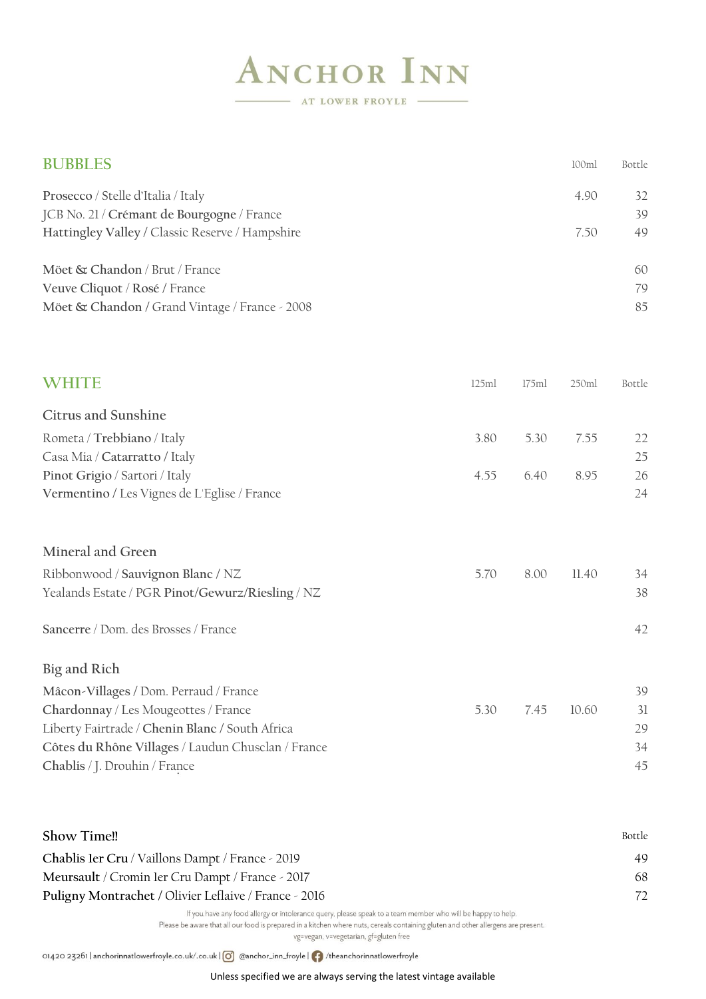## **ANCHOR INN**

AT LOWER FROYLE

| <b>BUBBLES</b>                                                                                |       |       | 100ml | Bottle   |
|-----------------------------------------------------------------------------------------------|-------|-------|-------|----------|
| Prosecco / Stelle d'Italia / Italy                                                            |       |       | 4.90  | 32<br>39 |
| JCB No. 21 / Crémant de Bourgogne / France<br>Hattingley Valley / Classic Reserve / Hampshire |       |       | 7.50  | 49       |
| Möet & Chandon / Brut / France                                                                |       |       |       | 60       |
| Veuve Cliquot / Rosé / France<br>Möet & Chandon / Grand Vintage / France - 2008               |       |       |       | 79<br>85 |
|                                                                                               |       |       |       |          |
| <b>WHITE</b>                                                                                  | 125ml | 175ml | 250ml | Bottle   |
| <b>Citrus and Sunshine</b>                                                                    |       |       |       |          |
| Rometa / Trebbiano / Italy                                                                    | 3.80  | 5.30  | 7.55  | 22       |
| Casa Mia / Catarratto / Italy                                                                 | 4.55  | 6.40  | 8.95  | 25<br>26 |
| Pinot Grigio / Sartori / Italy<br>Vermentino / Les Vignes de L'Eglise / France                |       |       |       | 24       |
| Mineral and Green                                                                             |       |       |       |          |
| Ribbonwood / Sauvignon Blanc / NZ                                                             | 5.70  | 8.00  | 11.40 | 34       |
| Yealands Estate / PGR Pinot/Gewurz/Riesling / NZ                                              |       |       |       | 38       |
| Sancerre / Dom. des Brosses / France                                                          |       |       |       | 42       |
| Big and Rich                                                                                  |       |       |       |          |
| Mâcon-Villages / Dom. Perraud / France                                                        |       |       |       | 39       |
| Chardonnay / Les Mougeottes / France                                                          | 5.30  | 7.45  | 10.60 | 31       |
| Liberty Fairtrade / Chenin Blanc / South Africa                                               |       |       |       | 29       |
| Côtes du Rhône Villages / Laudun Chusclan / France<br>Chablis / J. Drouhin / France           |       |       |       | 34<br>45 |
|                                                                                               |       |       |       |          |

| Show Time!!                                           | <b>Bottle</b> |
|-------------------------------------------------------|---------------|
| Chablis 1er Cru / Vaillons Dampt / France - 2019      | 49            |
| Meursault / Cromin ler Cru Dampt / France - 2017      | 68            |
| Puligny Montrachet / Olivier Leflaive / France - 2016 | 72            |
|                                                       |               |

If you have any food allergy or intolerance query, please speak to a team member who will be happy to help.

Please be aware that all our food is prepared in a kitchen where nuts, cereals containing gluten and other allergens are present.

vg=vegan, v=vegetarian, gf=gluten free